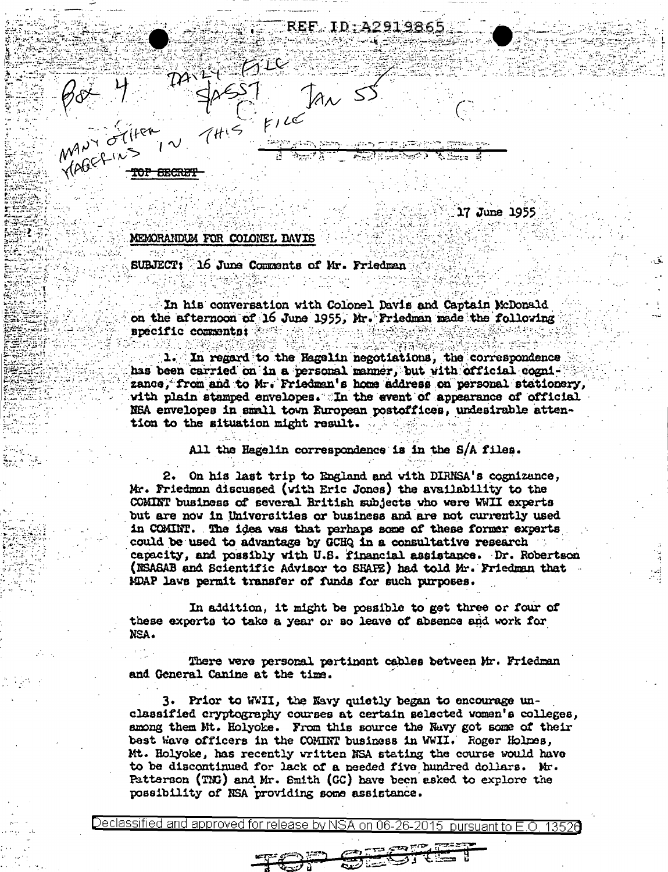ID:A291986  $60 + 72$ <br> $400 - 41$ <br> $400 - 21$ <br> $41 - 51$ <br> $400 - 11$ <br> $41 - 51$ <br> $41 - 51$ 

अन्तरी अक्तिक के नाम ने

17 June 1955

## MEMORANDUM FOR COLONEL DAVIS

SUBJECT: 16 June Comments of Mr. Friedman

In his conversation with Colonel Davis and Captain McDonald on the afternoon of 16 June 1955, Mr. Friedman made the following specific comments:

In regard to the Hagelin negotiations, the correspondence has been carried on in a personal manner, but with official cognizance, from and to Mr. Friedman's home address on personal stationery, with plain stamped envelopes. In the event of appearance of official NEA envelopes in small town European postoffices, undesirable attention to the situation might result.

All the Hagelin correspondence is in the S/A files.

2. On his last trip to England and with DIRNSA's cognizance, Mr. Friedman discussed (with Eric Jones) the availability to the COMINT business of several British subjects who were WWII experts but are now in Universities or business and are not currently used in COMINT. The idea was that perhaps some of these former experts could be used to advantage by GCHQ in a consultative research capacity, and possibly with U.S. financial assistance. Dr. Robertson (NSASAB and Scientific Advisor to SHAFE) had told Mr. Friedman that MDAP laws permit transfer of funds for such purposes.

In addition, it might be possible to get three or four of these experts to take a year or so leave of absence and work for NSA.

There were personal pertinent cables between Mr. Friedman and General Canine at the time.

3. Prior to WWII, the Navy quietly began to encourage unclassified cryptography courses at certain selected women's colleges, among them Mt. Holyoke. From this source the Navy got some of their best Wave officers in the COMINT business in WWII. Roger Holmes, Mt. Holyoke, has recently written NSA stating the course would have to be discontinued for lack of a needed five hundred dollars. Mr. Patterson (TMG) and Mr. Smith (GC) have been asked to explore the possibility of NSA providing some assistance.

<u>Declassified and approved for release by NSA</u> nursuant to E ∩.